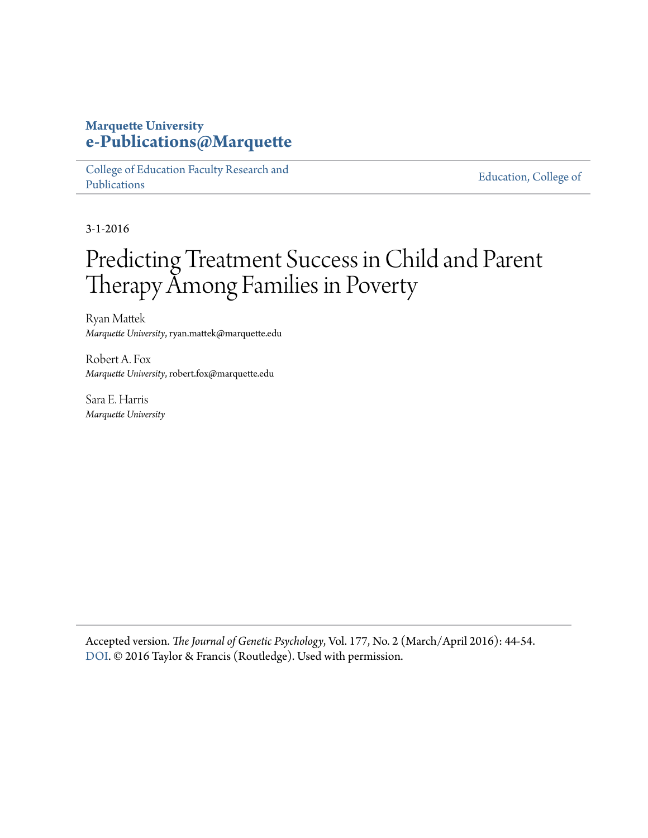## **Marquette University [e-Publications@Marquette](https://epublications.marquette.edu)**

[College of Education Faculty Research and](https://epublications.marquette.edu/edu_fac) [Publications](https://epublications.marquette.edu/edu_fac)

[Education, College of](https://epublications.marquette.edu/education)

3-1-2016

## Predicting Treatment Success in Child and Parent Therapy Among Families in Poverty

Ryan Mattek *Marquette University*, ryan.mattek@marquette.edu

Robert A. Fox *Marquette University*, robert.fox@marquette.edu

Sara E. Harris *Marquette University*

Accepted version. *The Journal of Genetic Psychology*, Vol. 177, No. 2 (March/April 2016): 44-54. [DOI](http://dx.doi.org/10.1080/00221325.2016.1147415). © 2016 Taylor & Francis (Routledge). Used with permission.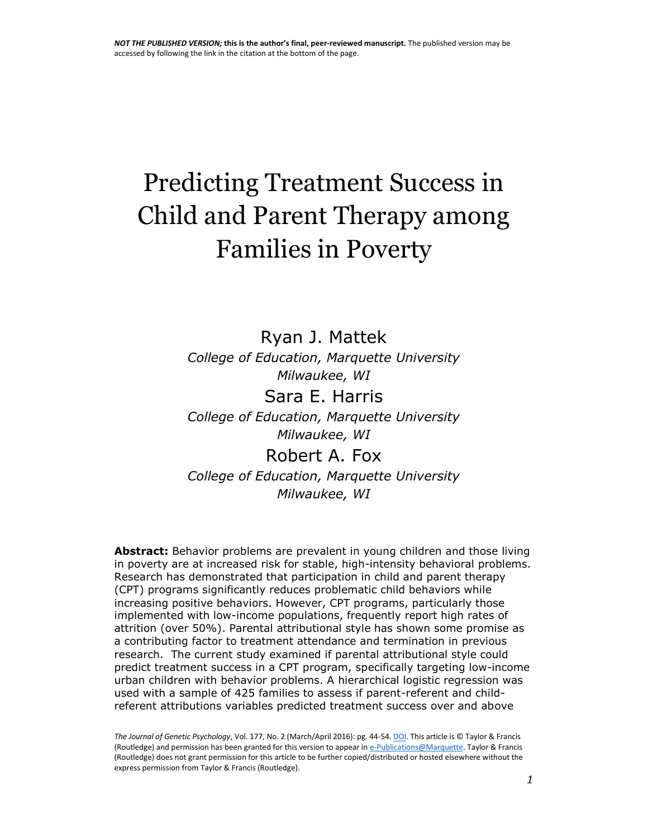# Predicting Treatment Success in Child and Parent Therapy among Families in Poverty

Ryan J. Mattek *College of Education, Marquette University Milwaukee, WI* Sara E. Harris *College of Education, Marquette University Milwaukee, WI* Robert A. Fox *College of Education, Marquette University*

*Milwaukee, WI*

**Abstract:** Behavior problems are prevalent in young children and those living in poverty are at increased risk for stable, high-intensity behavioral problems. Research has demonstrated that participation in child and parent therapy (CPT) programs significantly reduces problematic child behaviors while increasing positive behaviors. However, CPT programs, particularly those implemented with low-income populations, frequently report high rates of attrition (over 50%). Parental attributional style has shown some promise as a contributing factor to treatment attendance and termination in previous research. The current study examined if parental attributional style could predict treatment success in a CPT program, specifically targeting low-income urban children with behavior problems. A hierarchical logistic regression was used with a sample of 425 families to assess if parent-referent and childreferent attributions variables predicted treatment success over and above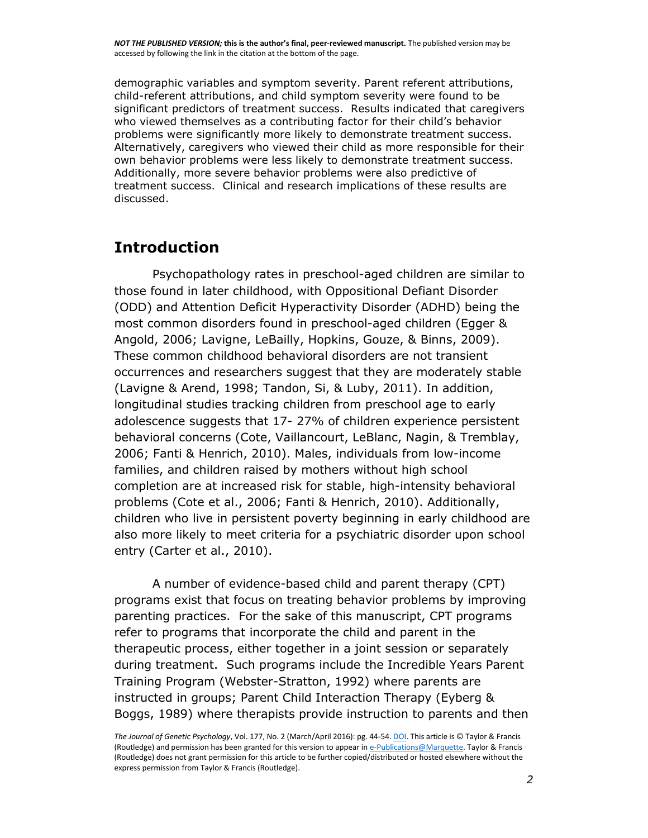demographic variables and symptom severity. Parent referent attributions, child-referent attributions, and child symptom severity were found to be significant predictors of treatment success. Results indicated that caregivers who viewed themselves as a contributing factor for their child's behavior problems were significantly more likely to demonstrate treatment success. Alternatively, caregivers who viewed their child as more responsible for their own behavior problems were less likely to demonstrate treatment success. Additionally, more severe behavior problems were also predictive of treatment success. Clinical and research implications of these results are discussed.

### **Introduction**

Psychopathology rates in preschool-aged children are similar to those found in later childhood, with Oppositional Defiant Disorder (ODD) and Attention Deficit Hyperactivity Disorder (ADHD) being the most common disorders found in preschool-aged children (Egger & Angold, 2006; Lavigne, LeBailly, Hopkins, Gouze, & Binns, 2009). These common childhood behavioral disorders are not transient occurrences and researchers suggest that they are moderately stable (Lavigne & Arend, 1998; Tandon, Si, & Luby, 2011). In addition, longitudinal studies tracking children from preschool age to early adolescence suggests that 17- 27% of children experience persistent behavioral concerns (Cote, Vaillancourt, LeBlanc, Nagin, & Tremblay, 2006; Fanti & Henrich, 2010). Males, individuals from low-income families, and children raised by mothers without high school completion are at increased risk for stable, high-intensity behavioral problems (Cote et al., 2006; Fanti & Henrich, 2010). Additionally, children who live in persistent poverty beginning in early childhood are also more likely to meet criteria for a psychiatric disorder upon school entry (Carter et al., 2010).

A number of evidence-based child and parent therapy (CPT) programs exist that focus on treating behavior problems by improving parenting practices. For the sake of this manuscript, CPT programs refer to programs that incorporate the child and parent in the therapeutic process, either together in a joint session or separately during treatment. Such programs include the Incredible Years Parent Training Program (Webster-Stratton, 1992) where parents are instructed in groups; Parent Child Interaction Therapy (Eyberg & Boggs, 1989) where therapists provide instruction to parents and then

*The Journal of Genetic Psychology*, Vol. 177, No. 2 (March/April 2016): pg. 44-54[. DOI.](http://dx.doi.org/10.1080/00221325.2016.1147415) This article is © Taylor & Francis (Routledge) and permission has been granted for this version to appear i[n e-Publications@Marquette.](http://epublications.marquette.edu/) Taylor & Francis (Routledge) does not grant permission for this article to be further copied/distributed or hosted elsewhere without the express permission from Taylor & Francis (Routledge).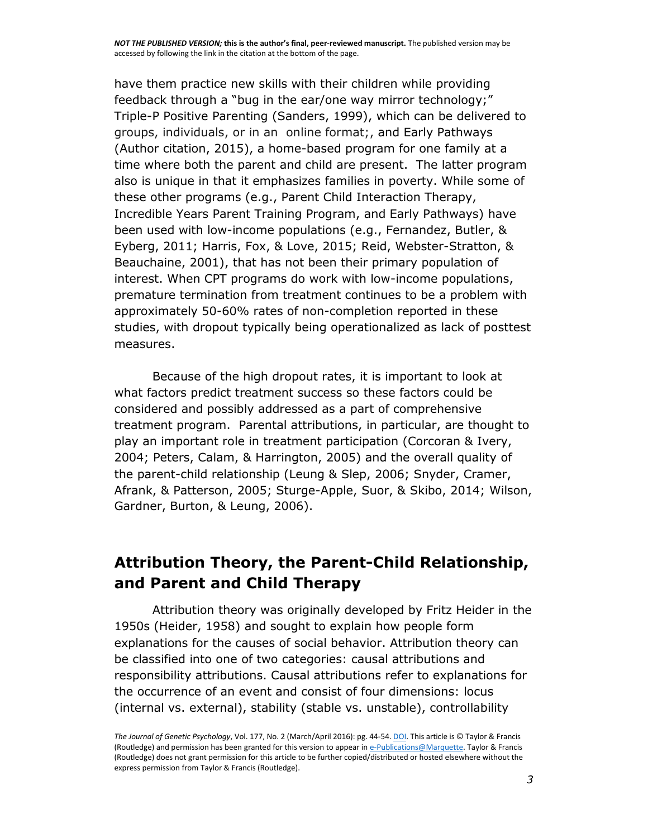have them practice new skills with their children while providing feedback through a "bug in the ear/one way mirror technology;" Triple-P Positive Parenting (Sanders, 1999), which can be delivered to groups, individuals, or in an online format;, and Early Pathways (Author citation, 2015), a home-based program for one family at a time where both the parent and child are present. The latter program also is unique in that it emphasizes families in poverty. While some of these other programs (e.g., Parent Child Interaction Therapy, Incredible Years Parent Training Program, and Early Pathways) have been used with low-income populations (e.g., Fernandez, Butler, & Eyberg, 2011; Harris, Fox, & Love, 2015; Reid, Webster-Stratton, & Beauchaine, 2001), that has not been their primary population of interest. When CPT programs do work with low-income populations, premature termination from treatment continues to be a problem with approximately 50-60% rates of non-completion reported in these studies, with dropout typically being operationalized as lack of posttest measures.

Because of the high dropout rates, it is important to look at what factors predict treatment success so these factors could be considered and possibly addressed as a part of comprehensive treatment program. Parental attributions, in particular, are thought to play an important role in treatment participation (Corcoran & Ivery, 2004; Peters, Calam, & Harrington, 2005) and the overall quality of the parent-child relationship (Leung & Slep, 2006; Snyder, Cramer, Afrank, & Patterson, 2005; Sturge-Apple, Suor, & Skibo, 2014; Wilson, Gardner, Burton, & Leung, 2006).

## **Attribution Theory, the Parent-Child Relationship, and Parent and Child Therapy**

Attribution theory was originally developed by Fritz Heider in the 1950s (Heider, 1958) and sought to explain how people form explanations for the causes of social behavior. Attribution theory can be classified into one of two categories: causal attributions and responsibility attributions. Causal attributions refer to explanations for the occurrence of an event and consist of four dimensions: locus (internal vs. external), stability (stable vs. unstable), controllability

*The Journal of Genetic Psychology*, Vol. 177, No. 2 (March/April 2016): pg. 44-54[. DOI.](http://dx.doi.org/10.1080/00221325.2016.1147415) This article is © Taylor & Francis (Routledge) and permission has been granted for this version to appear i[n e-Publications@Marquette.](http://epublications.marquette.edu/) Taylor & Francis (Routledge) does not grant permission for this article to be further copied/distributed or hosted elsewhere without the express permission from Taylor & Francis (Routledge).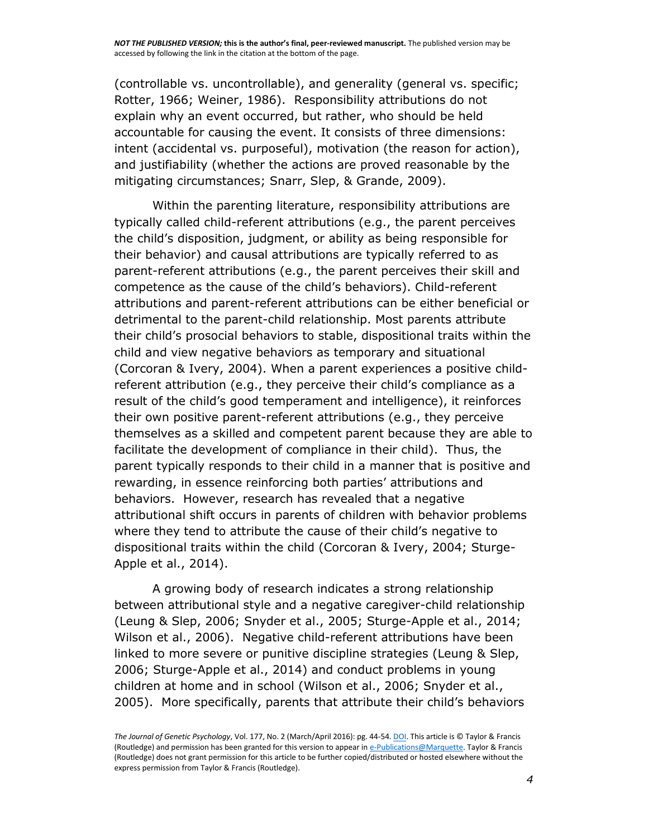(controllable vs. uncontrollable), and generality (general vs. specific; Rotter, 1966; Weiner, 1986). Responsibility attributions do not explain why an event occurred, but rather, who should be held accountable for causing the event. It consists of three dimensions: intent (accidental vs. purposeful), motivation (the reason for action), and justifiability (whether the actions are proved reasonable by the mitigating circumstances; Snarr, Slep, & Grande, 2009).

Within the parenting literature, responsibility attributions are typically called child-referent attributions (e.g., the parent perceives the child's disposition, judgment, or ability as being responsible for their behavior) and causal attributions are typically referred to as parent-referent attributions (e.g., the parent perceives their skill and competence as the cause of the child's behaviors). Child-referent attributions and parent-referent attributions can be either beneficial or detrimental to the parent-child relationship. Most parents attribute their child's prosocial behaviors to stable, dispositional traits within the child and view negative behaviors as temporary and situational (Corcoran & Ivery, 2004). When a parent experiences a positive childreferent attribution (e.g., they perceive their child's compliance as a result of the child's good temperament and intelligence), it reinforces their own positive parent-referent attributions (e.g., they perceive themselves as a skilled and competent parent because they are able to facilitate the development of compliance in their child). Thus, the parent typically responds to their child in a manner that is positive and rewarding, in essence reinforcing both parties' attributions and behaviors. However, research has revealed that a negative attributional shift occurs in parents of children with behavior problems where they tend to attribute the cause of their child's negative to dispositional traits within the child (Corcoran & Ivery, 2004; Sturge-Apple et al., 2014).

A growing body of research indicates a strong relationship between attributional style and a negative caregiver-child relationship (Leung & Slep, 2006; Snyder et al., 2005; Sturge-Apple et al., 2014; Wilson et al., 2006). Negative child-referent attributions have been linked to more severe or punitive discipline strategies (Leung & Slep, 2006; Sturge-Apple et al., 2014) and conduct problems in young children at home and in school (Wilson et al., 2006; Snyder et al., 2005). More specifically, parents that attribute their child's behaviors

*The Journal of Genetic Psychology*, Vol. 177, No. 2 (March/April 2016): pg. 44-54[. DOI.](http://dx.doi.org/10.1080/00221325.2016.1147415) This article is © Taylor & Francis (Routledge) and permission has been granted for this version to appear i[n e-Publications@Marquette.](http://epublications.marquette.edu/) Taylor & Francis (Routledge) does not grant permission for this article to be further copied/distributed or hosted elsewhere without the express permission from Taylor & Francis (Routledge).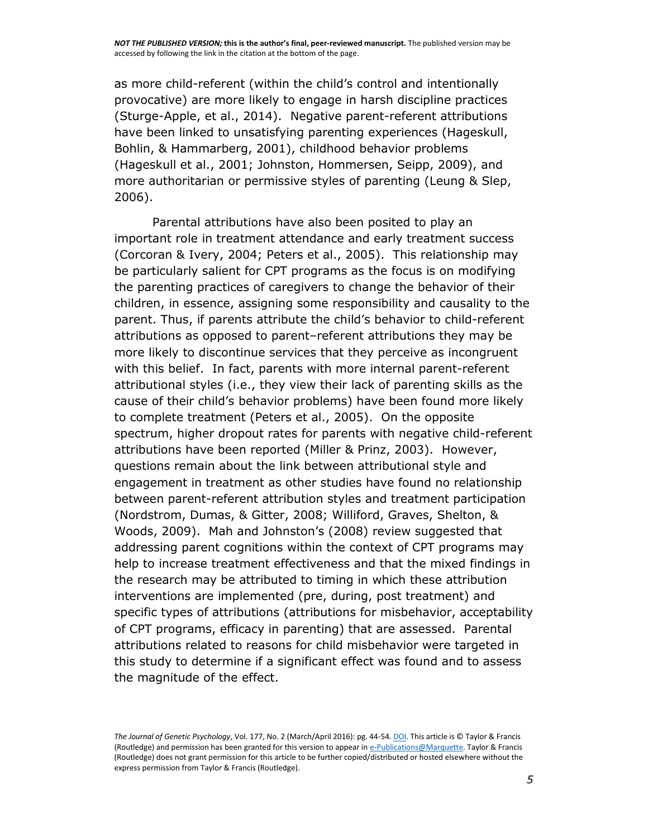as more child-referent (within the child's control and intentionally provocative) are more likely to engage in harsh discipline practices (Sturge-Apple, et al., 2014). Negative parent-referent attributions have been linked to unsatisfying parenting experiences (Hageskull, Bohlin, & Hammarberg, 2001), childhood behavior problems (Hageskull et al., 2001; Johnston, Hommersen, Seipp, 2009), and more authoritarian or permissive styles of parenting (Leung & Slep, 2006).

Parental attributions have also been posited to play an important role in treatment attendance and early treatment success (Corcoran & Ivery, 2004; Peters et al., 2005). This relationship may be particularly salient for CPT programs as the focus is on modifying the parenting practices of caregivers to change the behavior of their children, in essence, assigning some responsibility and causality to the parent. Thus, if parents attribute the child's behavior to child-referent attributions as opposed to parent–referent attributions they may be more likely to discontinue services that they perceive as incongruent with this belief. In fact, parents with more internal parent-referent attributional styles (i.e., they view their lack of parenting skills as the cause of their child's behavior problems) have been found more likely to complete treatment (Peters et al., 2005). On the opposite spectrum, higher dropout rates for parents with negative child-referent attributions have been reported (Miller & Prinz, 2003). However, questions remain about the link between attributional style and engagement in treatment as other studies have found no relationship between parent-referent attribution styles and treatment participation (Nordstrom, Dumas, & Gitter, 2008; Williford, Graves, Shelton, & Woods, 2009). Mah and Johnston's (2008) review suggested that addressing parent cognitions within the context of CPT programs may help to increase treatment effectiveness and that the mixed findings in the research may be attributed to timing in which these attribution interventions are implemented (pre, during, post treatment) and specific types of attributions (attributions for misbehavior, acceptability of CPT programs, efficacy in parenting) that are assessed. Parental attributions related to reasons for child misbehavior were targeted in this study to determine if a significant effect was found and to assess the magnitude of the effect.

*The Journal of Genetic Psychology*, Vol. 177, No. 2 (March/April 2016): pg. 44-54[. DOI.](http://dx.doi.org/10.1080/00221325.2016.1147415) This article is © Taylor & Francis (Routledge) and permission has been granted for this version to appear i[n e-Publications@Marquette.](http://epublications.marquette.edu/) Taylor & Francis (Routledge) does not grant permission for this article to be further copied/distributed or hosted elsewhere without the express permission from Taylor & Francis (Routledge).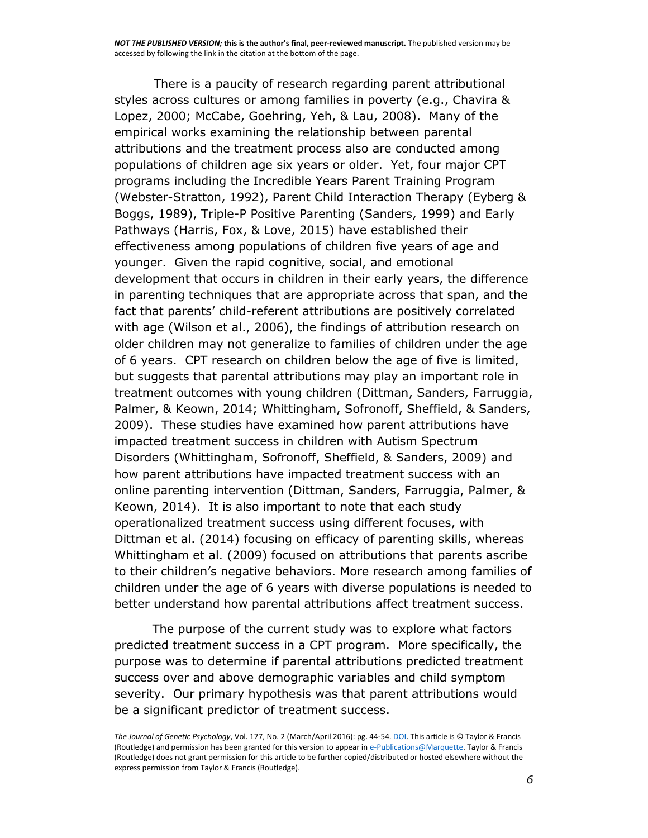There is a paucity of research regarding parent attributional styles across cultures or among families in poverty (e.g., Chavira & Lopez, 2000; McCabe, Goehring, Yeh, & Lau, 2008). Many of the empirical works examining the relationship between parental attributions and the treatment process also are conducted among populations of children age six years or older. Yet, four major CPT programs including the Incredible Years Parent Training Program (Webster-Stratton, 1992), Parent Child Interaction Therapy (Eyberg & Boggs, 1989), Triple-P Positive Parenting (Sanders, 1999) and Early Pathways (Harris, Fox, & Love, 2015) have established their effectiveness among populations of children five years of age and younger. Given the rapid cognitive, social, and emotional development that occurs in children in their early years, the difference in parenting techniques that are appropriate across that span, and the fact that parents' child-referent attributions are positively correlated with age (Wilson et al., 2006), the findings of attribution research on older children may not generalize to families of children under the age of 6 years. CPT research on children below the age of five is limited, but suggests that parental attributions may play an important role in treatment outcomes with young children (Dittman, Sanders, Farruggia, Palmer, & Keown, 2014; Whittingham, Sofronoff, Sheffield, & Sanders, 2009). These studies have examined how parent attributions have impacted treatment success in children with Autism Spectrum Disorders (Whittingham, Sofronoff, Sheffield, & Sanders, 2009) and how parent attributions have impacted treatment success with an online parenting intervention (Dittman, Sanders, Farruggia, Palmer, & Keown, 2014). It is also important to note that each study operationalized treatment success using different focuses, with Dittman et al. (2014) focusing on efficacy of parenting skills, whereas Whittingham et al. (2009) focused on attributions that parents ascribe to their children's negative behaviors. More research among families of children under the age of 6 years with diverse populations is needed to better understand how parental attributions affect treatment success.

The purpose of the current study was to explore what factors predicted treatment success in a CPT program. More specifically, the purpose was to determine if parental attributions predicted treatment success over and above demographic variables and child symptom severity. Our primary hypothesis was that parent attributions would be a significant predictor of treatment success.

*The Journal of Genetic Psychology*, Vol. 177, No. 2 (March/April 2016): pg. 44-54[. DOI.](http://dx.doi.org/10.1080/00221325.2016.1147415) This article is © Taylor & Francis (Routledge) and permission has been granted for this version to appear i[n e-Publications@Marquette.](http://epublications.marquette.edu/) Taylor & Francis (Routledge) does not grant permission for this article to be further copied/distributed or hosted elsewhere without the express permission from Taylor & Francis (Routledge).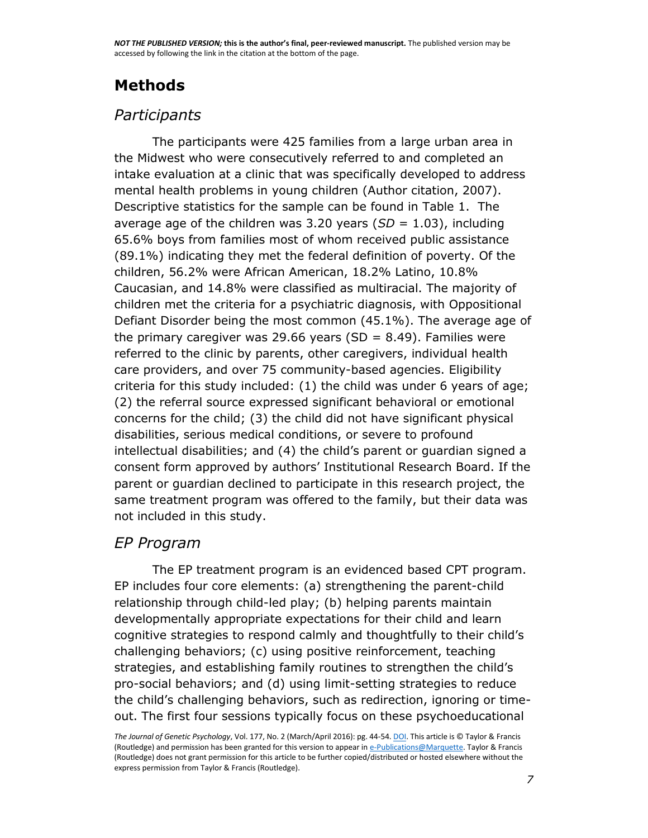## **Methods**

## *Participants*

The participants were 425 families from a large urban area in the Midwest who were consecutively referred to and completed an intake evaluation at a clinic that was specifically developed to address mental health problems in young children (Author citation, 2007). Descriptive statistics for the sample can be found in Table 1. The average age of the children was 3.20 years (*SD* = 1.03), including 65.6% boys from families most of whom received public assistance (89.1%) indicating they met the federal definition of poverty. Of the children, 56.2% were African American, 18.2% Latino, 10.8% Caucasian, and 14.8% were classified as multiracial. The majority of children met the criteria for a psychiatric diagnosis, with Oppositional Defiant Disorder being the most common (45.1%). The average age of the primary caregiver was 29.66 years (SD = 8.49). Families were referred to the clinic by parents, other caregivers, individual health care providers, and over 75 community-based agencies. Eligibility criteria for this study included: (1) the child was under 6 years of age; (2) the referral source expressed significant behavioral or emotional concerns for the child; (3) the child did not have significant physical disabilities, serious medical conditions, or severe to profound intellectual disabilities; and (4) the child's parent or guardian signed a consent form approved by authors' Institutional Research Board. If the parent or guardian declined to participate in this research project, the same treatment program was offered to the family, but their data was not included in this study.

### *EP Program*

The EP treatment program is an evidenced based CPT program. EP includes four core elements: (a) strengthening the parent-child relationship through child-led play; (b) helping parents maintain developmentally appropriate expectations for their child and learn cognitive strategies to respond calmly and thoughtfully to their child's challenging behaviors; (c) using positive reinforcement, teaching strategies, and establishing family routines to strengthen the child's pro-social behaviors; and (d) using limit-setting strategies to reduce the child's challenging behaviors, such as redirection, ignoring or timeout. The first four sessions typically focus on these psychoeducational

*The Journal of Genetic Psychology*, Vol. 177, No. 2 (March/April 2016): pg. 44-54[. DOI.](http://dx.doi.org/10.1080/00221325.2016.1147415) This article is © Taylor & Francis (Routledge) and permission has been granted for this version to appear i[n e-Publications@Marquette.](http://epublications.marquette.edu/) Taylor & Francis (Routledge) does not grant permission for this article to be further copied/distributed or hosted elsewhere without the express permission from Taylor & Francis (Routledge).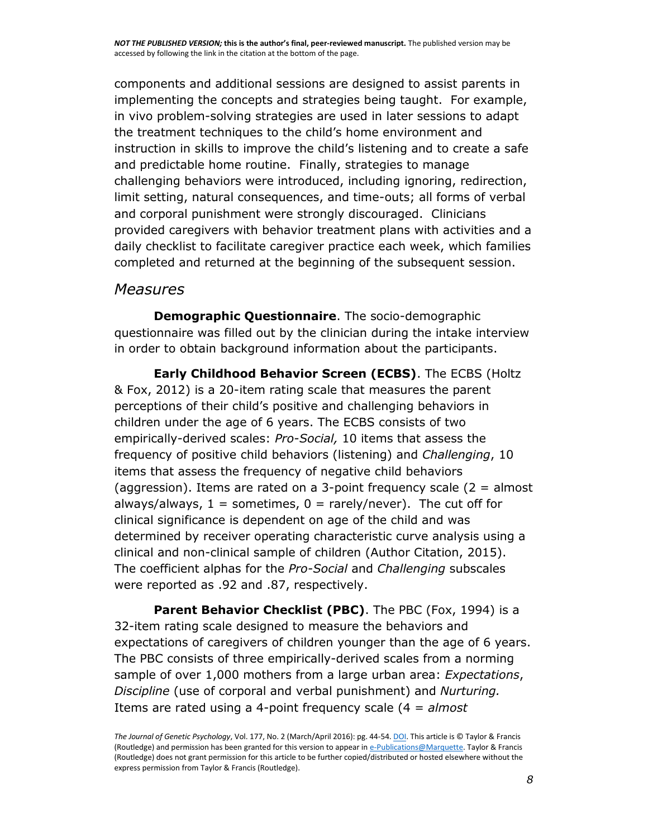components and additional sessions are designed to assist parents in implementing the concepts and strategies being taught. For example, in vivo problem-solving strategies are used in later sessions to adapt the treatment techniques to the child's home environment and instruction in skills to improve the child's listening and to create a safe and predictable home routine. Finally, strategies to manage challenging behaviors were introduced, including ignoring, redirection, limit setting, natural consequences, and time-outs; all forms of verbal and corporal punishment were strongly discouraged. Clinicians provided caregivers with behavior treatment plans with activities and a daily checklist to facilitate caregiver practice each week, which families completed and returned at the beginning of the subsequent session.

### *Measures*

**Demographic Questionnaire**. The socio-demographic questionnaire was filled out by the clinician during the intake interview in order to obtain background information about the participants.

**Early Childhood Behavior Screen (ECBS)**. The ECBS (Holtz & Fox, 2012) is a 20-item rating scale that measures the parent perceptions of their child's positive and challenging behaviors in children under the age of 6 years. The ECBS consists of two empirically-derived scales: *Pro-Social,* 10 items that assess the frequency of positive child behaviors (listening) and *Challenging*, 10 items that assess the frequency of negative child behaviors (aggression). Items are rated on a 3-point frequency scale (2 = almost always/always,  $1 =$  sometimes,  $0 =$  rarely/never). The cut off for clinical significance is dependent on age of the child and was determined by receiver operating characteristic curve analysis using a clinical and non-clinical sample of children (Author Citation, 2015). The coefficient alphas for the *Pro-Social* and *Challenging* subscales were reported as .92 and .87, respectively.

**Parent Behavior Checklist (PBC)**. The PBC (Fox, 1994) is a 32-item rating scale designed to measure the behaviors and expectations of caregivers of children younger than the age of 6 years. The PBC consists of three empirically-derived scales from a norming sample of over 1,000 mothers from a large urban area: *Expectations*, *Discipline* (use of corporal and verbal punishment) and *Nurturing.*  Items are rated using a 4-point frequency scale (4 = *almost* 

*The Journal of Genetic Psychology*, Vol. 177, No. 2 (March/April 2016): pg. 44-54[. DOI.](http://dx.doi.org/10.1080/00221325.2016.1147415) This article is © Taylor & Francis (Routledge) and permission has been granted for this version to appear i[n e-Publications@Marquette.](http://epublications.marquette.edu/) Taylor & Francis (Routledge) does not grant permission for this article to be further copied/distributed or hosted elsewhere without the express permission from Taylor & Francis (Routledge).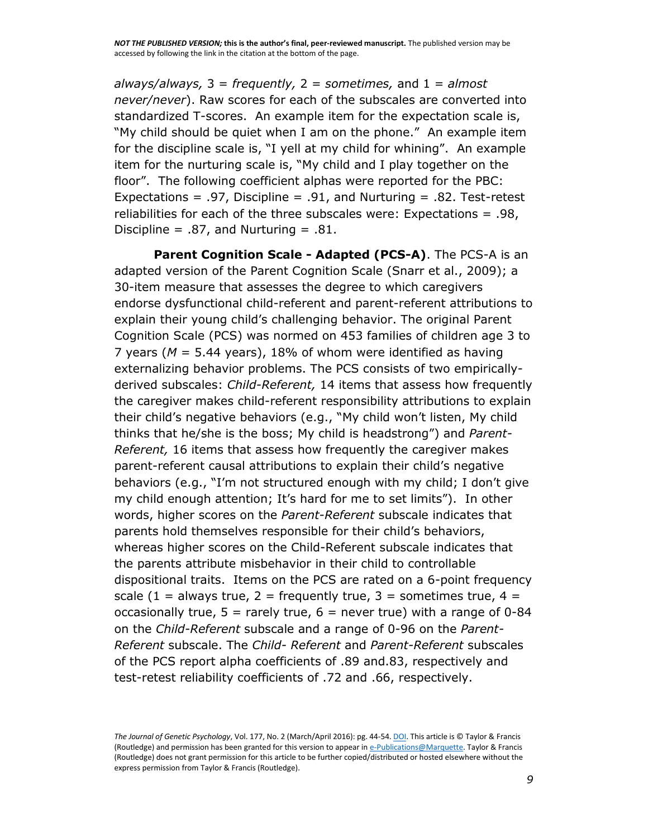*always/always,* 3 = *frequently,* 2 = *sometimes,* and 1 = *almost never/never*). Raw scores for each of the subscales are converted into standardized T-scores. An example item for the expectation scale is, "My child should be quiet when I am on the phone." An example item for the discipline scale is, "I yell at my child for whining". An example item for the nurturing scale is, "My child and I play together on the floor". The following coefficient alphas were reported for the PBC: Expectations = .97, Discipline = .91, and Nurturing = .82. Test-retest reliabilities for each of the three subscales were: Expectations = .98, Discipline = .87, and Nurturing = .81.

**Parent Cognition Scale - Adapted (PCS-A)**. The PCS-A is an adapted version of the Parent Cognition Scale (Snarr et al., 2009); a 30-item measure that assesses the degree to which caregivers endorse dysfunctional child-referent and parent-referent attributions to explain their young child's challenging behavior. The original Parent Cognition Scale (PCS) was normed on 453 families of children age 3 to 7 years (*M* = 5.44 years), 18% of whom were identified as having externalizing behavior problems. The PCS consists of two empiricallyderived subscales: *Child-Referent,* 14 items that assess how frequently the caregiver makes child-referent responsibility attributions to explain their child's negative behaviors (e.g., "My child won't listen, My child thinks that he/she is the boss; My child is headstrong") and *Parent-Referent,* 16 items that assess how frequently the caregiver makes parent-referent causal attributions to explain their child's negative behaviors (e.g., "I'm not structured enough with my child; I don't give my child enough attention; It's hard for me to set limits"). In other words, higher scores on the *Parent-Referent* subscale indicates that parents hold themselves responsible for their child's behaviors, whereas higher scores on the Child-Referent subscale indicates that the parents attribute misbehavior in their child to controllable dispositional traits. Items on the PCS are rated on a 6-point frequency scale (1 = always true, 2 = frequently true, 3 = sometimes true, 4 = occasionally true,  $5 =$  rarely true,  $6 =$  never true) with a range of 0-84 on the *Child-Referent* subscale and a range of 0-96 on the *Parent-Referent* subscale. The *Child- Referent* and *Parent-Referent* subscales of the PCS report alpha coefficients of .89 and.83, respectively and test-retest reliability coefficients of .72 and .66, respectively.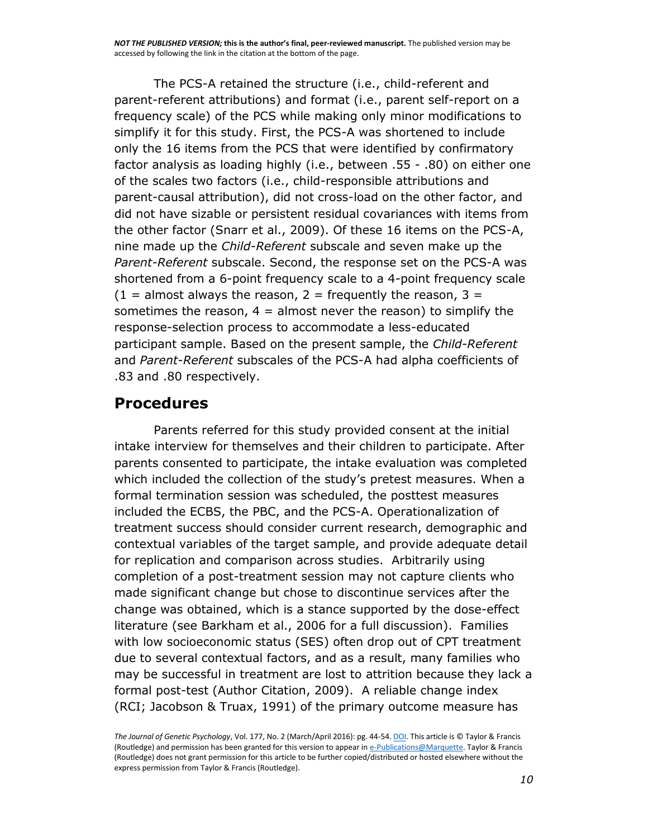The PCS-A retained the structure (i.e., child-referent and parent-referent attributions) and format (i.e., parent self-report on a frequency scale) of the PCS while making only minor modifications to simplify it for this study. First, the PCS-A was shortened to include only the 16 items from the PCS that were identified by confirmatory factor analysis as loading highly (i.e., between .55 - .80) on either one of the scales two factors (i.e., child-responsible attributions and parent-causal attribution), did not cross-load on the other factor, and did not have sizable or persistent residual covariances with items from the other factor (Snarr et al., 2009). Of these 16 items on the PCS-A, nine made up the *Child-Referent* subscale and seven make up the *Parent-Referent* subscale. Second, the response set on the PCS-A was shortened from a 6-point frequency scale to a 4-point frequency scale  $(1 =$  almost always the reason, 2 = frequently the reason, 3 = sometimes the reason,  $4 =$  almost never the reason) to simplify the response-selection process to accommodate a less-educated participant sample. Based on the present sample, the *Child-Referent*  and *Parent-Referent* subscales of the PCS-A had alpha coefficients of .83 and .80 respectively.

## **Procedures**

Parents referred for this study provided consent at the initial intake interview for themselves and their children to participate. After parents consented to participate, the intake evaluation was completed which included the collection of the study's pretest measures. When a formal termination session was scheduled, the posttest measures included the ECBS, the PBC, and the PCS-A. Operationalization of treatment success should consider current research, demographic and contextual variables of the target sample, and provide adequate detail for replication and comparison across studies. Arbitrarily using completion of a post-treatment session may not capture clients who made significant change but chose to discontinue services after the change was obtained, which is a stance supported by the dose-effect literature (see Barkham et al., 2006 for a full discussion). Families with low socioeconomic status (SES) often drop out of CPT treatment due to several contextual factors, and as a result, many families who may be successful in treatment are lost to attrition because they lack a formal post-test (Author Citation, 2009). A reliable change index (RCI; Jacobson & Truax, 1991) of the primary outcome measure has

*The Journal of Genetic Psychology*, Vol. 177, No. 2 (March/April 2016): pg. 44-54[. DOI.](http://dx.doi.org/10.1080/00221325.2016.1147415) This article is © Taylor & Francis (Routledge) and permission has been granted for this version to appear i[n e-Publications@Marquette.](http://epublications.marquette.edu/) Taylor & Francis (Routledge) does not grant permission for this article to be further copied/distributed or hosted elsewhere without the express permission from Taylor & Francis (Routledge).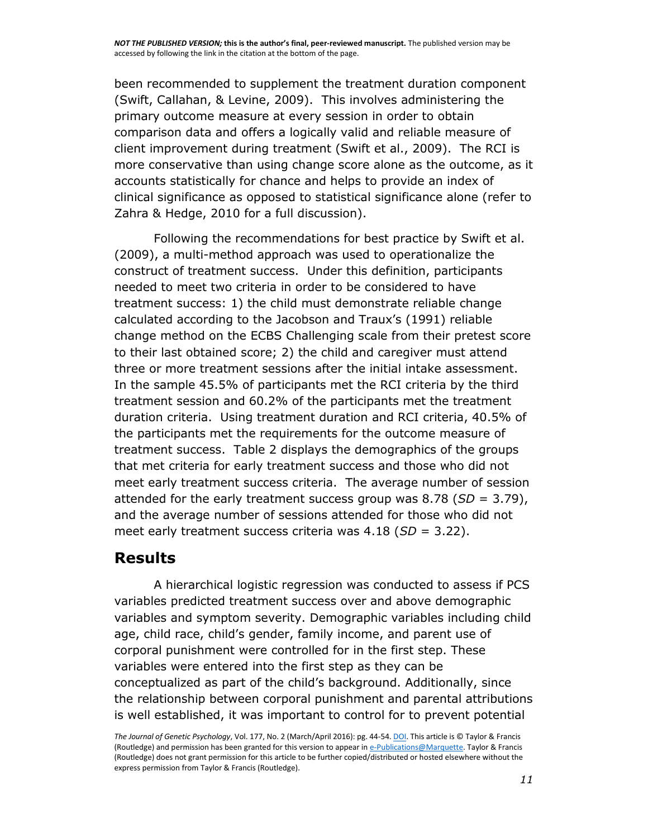been recommended to supplement the treatment duration component (Swift, Callahan, & Levine, 2009). This involves administering the primary outcome measure at every session in order to obtain comparison data and offers a logically valid and reliable measure of client improvement during treatment (Swift et al., 2009). The RCI is more conservative than using change score alone as the outcome, as it accounts statistically for chance and helps to provide an index of clinical significance as opposed to statistical significance alone (refer to Zahra & Hedge, 2010 for a full discussion).

Following the recommendations for best practice by Swift et al. (2009), a multi-method approach was used to operationalize the construct of treatment success. Under this definition, participants needed to meet two criteria in order to be considered to have treatment success: 1) the child must demonstrate reliable change calculated according to the Jacobson and Traux's (1991) reliable change method on the ECBS Challenging scale from their pretest score to their last obtained score; 2) the child and caregiver must attend three or more treatment sessions after the initial intake assessment. In the sample 45.5% of participants met the RCI criteria by the third treatment session and 60.2% of the participants met the treatment duration criteria. Using treatment duration and RCI criteria, 40.5% of the participants met the requirements for the outcome measure of treatment success. Table 2 displays the demographics of the groups that met criteria for early treatment success and those who did not meet early treatment success criteria. The average number of session attended for the early treatment success group was 8.78 (*SD* = 3.79), and the average number of sessions attended for those who did not meet early treatment success criteria was 4.18 (*SD* = 3.22).

## **Results**

A hierarchical logistic regression was conducted to assess if PCS variables predicted treatment success over and above demographic variables and symptom severity. Demographic variables including child age, child race, child's gender, family income, and parent use of corporal punishment were controlled for in the first step. These variables were entered into the first step as they can be conceptualized as part of the child's background. Additionally, since the relationship between corporal punishment and parental attributions is well established, it was important to control for to prevent potential

*The Journal of Genetic Psychology*, Vol. 177, No. 2 (March/April 2016): pg. 44-54[. DOI.](http://dx.doi.org/10.1080/00221325.2016.1147415) This article is © Taylor & Francis (Routledge) and permission has been granted for this version to appear i[n e-Publications@Marquette.](http://epublications.marquette.edu/) Taylor & Francis (Routledge) does not grant permission for this article to be further copied/distributed or hosted elsewhere without the express permission from Taylor & Francis (Routledge).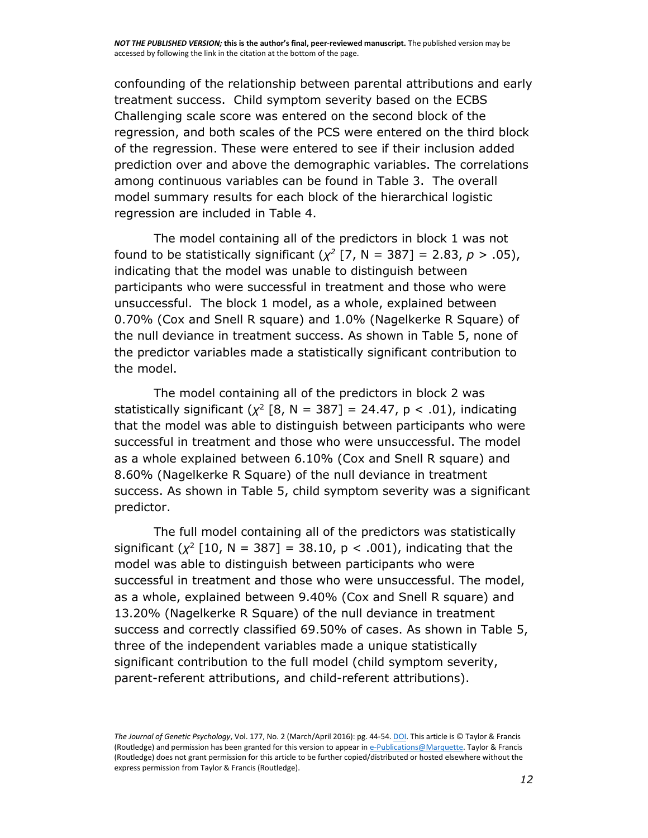confounding of the relationship between parental attributions and early treatment success. Child symptom severity based on the ECBS Challenging scale score was entered on the second block of the regression, and both scales of the PCS were entered on the third block of the regression. These were entered to see if their inclusion added prediction over and above the demographic variables. The correlations among continuous variables can be found in Table 3. The overall model summary results for each block of the hierarchical logistic regression are included in Table 4.

The model containing all of the predictors in block 1 was not found to be statistically significant  $(\chi^2 \mid 7, N = 387] = 2.83, p > .05$ , indicating that the model was unable to distinguish between participants who were successful in treatment and those who were unsuccessful. The block 1 model, as a whole, explained between 0.70% (Cox and Snell R square) and 1.0% (Nagelkerke R Square) of the null deviance in treatment success. As shown in Table 5, none of the predictor variables made a statistically significant contribution to the model.

The model containing all of the predictors in block 2 was statistically significant  $(\chi^2$  [8, N = 387] = 24.47, p < .01), indicating that the model was able to distinguish between participants who were successful in treatment and those who were unsuccessful. The model as a whole explained between 6.10% (Cox and Snell R square) and 8.60% (Nagelkerke R Square) of the null deviance in treatment success. As shown in Table 5, child symptom severity was a significant predictor.

The full model containing all of the predictors was statistically significant  $(\chi^2$  [10, N = 387] = 38.10, p < .001), indicating that the model was able to distinguish between participants who were successful in treatment and those who were unsuccessful. The model, as a whole, explained between 9.40% (Cox and Snell R square) and 13.20% (Nagelkerke R Square) of the null deviance in treatment success and correctly classified 69.50% of cases. As shown in Table 5, three of the independent variables made a unique statistically significant contribution to the full model (child symptom severity, parent-referent attributions, and child-referent attributions).

*The Journal of Genetic Psychology*, Vol. 177, No. 2 (March/April 2016): pg. 44-54[. DOI.](http://dx.doi.org/10.1080/00221325.2016.1147415) This article is © Taylor & Francis (Routledge) and permission has been granted for this version to appear i[n e-Publications@Marquette.](http://epublications.marquette.edu/) Taylor & Francis (Routledge) does not grant permission for this article to be further copied/distributed or hosted elsewhere without the express permission from Taylor & Francis (Routledge).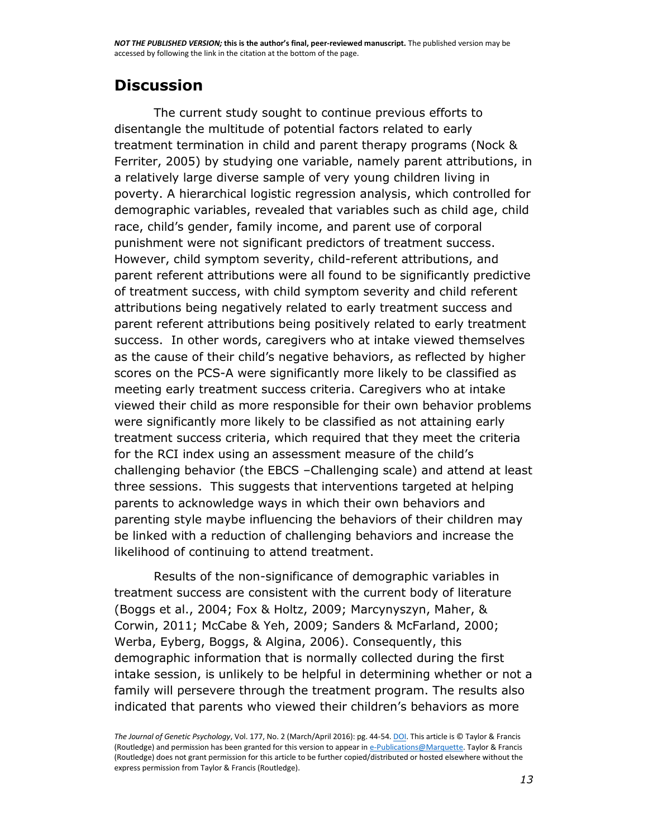## **Discussion**

The current study sought to continue previous efforts to disentangle the multitude of potential factors related to early treatment termination in child and parent therapy programs (Nock & Ferriter, 2005) by studying one variable, namely parent attributions, in a relatively large diverse sample of very young children living in poverty. A hierarchical logistic regression analysis, which controlled for demographic variables, revealed that variables such as child age, child race, child's gender, family income, and parent use of corporal punishment were not significant predictors of treatment success. However, child symptom severity, child-referent attributions, and parent referent attributions were all found to be significantly predictive of treatment success, with child symptom severity and child referent attributions being negatively related to early treatment success and parent referent attributions being positively related to early treatment success. In other words, caregivers who at intake viewed themselves as the cause of their child's negative behaviors, as reflected by higher scores on the PCS-A were significantly more likely to be classified as meeting early treatment success criteria. Caregivers who at intake viewed their child as more responsible for their own behavior problems were significantly more likely to be classified as not attaining early treatment success criteria, which required that they meet the criteria for the RCI index using an assessment measure of the child's challenging behavior (the EBCS –Challenging scale) and attend at least three sessions. This suggests that interventions targeted at helping parents to acknowledge ways in which their own behaviors and parenting style maybe influencing the behaviors of their children may be linked with a reduction of challenging behaviors and increase the likelihood of continuing to attend treatment.

Results of the non-significance of demographic variables in treatment success are consistent with the current body of literature (Boggs et al., 2004; Fox & Holtz, 2009; Marcynyszyn, Maher, & Corwin, 2011; McCabe & Yeh, 2009; Sanders & McFarland, 2000; Werba, Eyberg, Boggs, & Algina, 2006). Consequently, this demographic information that is normally collected during the first intake session, is unlikely to be helpful in determining whether or not a family will persevere through the treatment program. The results also indicated that parents who viewed their children's behaviors as more

*The Journal of Genetic Psychology*, Vol. 177, No. 2 (March/April 2016): pg. 44-54[. DOI.](http://dx.doi.org/10.1080/00221325.2016.1147415) This article is © Taylor & Francis (Routledge) and permission has been granted for this version to appear i[n e-Publications@Marquette.](http://epublications.marquette.edu/) Taylor & Francis (Routledge) does not grant permission for this article to be further copied/distributed or hosted elsewhere without the express permission from Taylor & Francis (Routledge).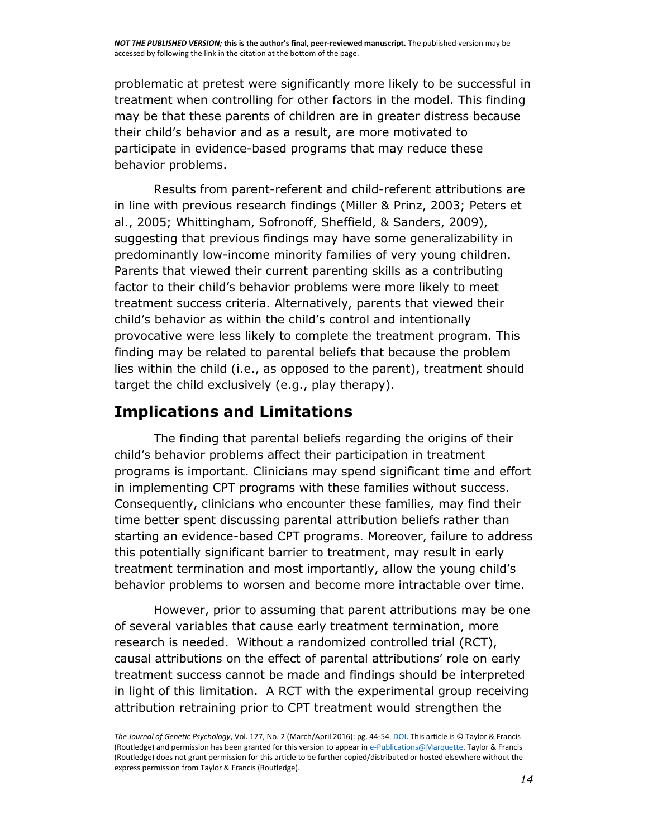problematic at pretest were significantly more likely to be successful in treatment when controlling for other factors in the model. This finding may be that these parents of children are in greater distress because their child's behavior and as a result, are more motivated to participate in evidence-based programs that may reduce these behavior problems.

Results from parent-referent and child-referent attributions are in line with previous research findings (Miller & Prinz, 2003; Peters et al., 2005; Whittingham, Sofronoff, Sheffield, & Sanders, 2009), suggesting that previous findings may have some generalizability in predominantly low-income minority families of very young children. Parents that viewed their current parenting skills as a contributing factor to their child's behavior problems were more likely to meet treatment success criteria. Alternatively, parents that viewed their child's behavior as within the child's control and intentionally provocative were less likely to complete the treatment program. This finding may be related to parental beliefs that because the problem lies within the child (i.e., as opposed to the parent), treatment should target the child exclusively (e.g., play therapy).

## **Implications and Limitations**

The finding that parental beliefs regarding the origins of their child's behavior problems affect their participation in treatment programs is important. Clinicians may spend significant time and effort in implementing CPT programs with these families without success. Consequently, clinicians who encounter these families, may find their time better spent discussing parental attribution beliefs rather than starting an evidence-based CPT programs. Moreover, failure to address this potentially significant barrier to treatment, may result in early treatment termination and most importantly, allow the young child's behavior problems to worsen and become more intractable over time.

However, prior to assuming that parent attributions may be one of several variables that cause early treatment termination, more research is needed. Without a randomized controlled trial (RCT), causal attributions on the effect of parental attributions' role on early treatment success cannot be made and findings should be interpreted in light of this limitation. A RCT with the experimental group receiving attribution retraining prior to CPT treatment would strengthen the

*The Journal of Genetic Psychology*, Vol. 177, No. 2 (March/April 2016): pg. 44-54[. DOI.](http://dx.doi.org/10.1080/00221325.2016.1147415) This article is © Taylor & Francis (Routledge) and permission has been granted for this version to appear i[n e-Publications@Marquette.](http://epublications.marquette.edu/) Taylor & Francis (Routledge) does not grant permission for this article to be further copied/distributed or hosted elsewhere without the express permission from Taylor & Francis (Routledge).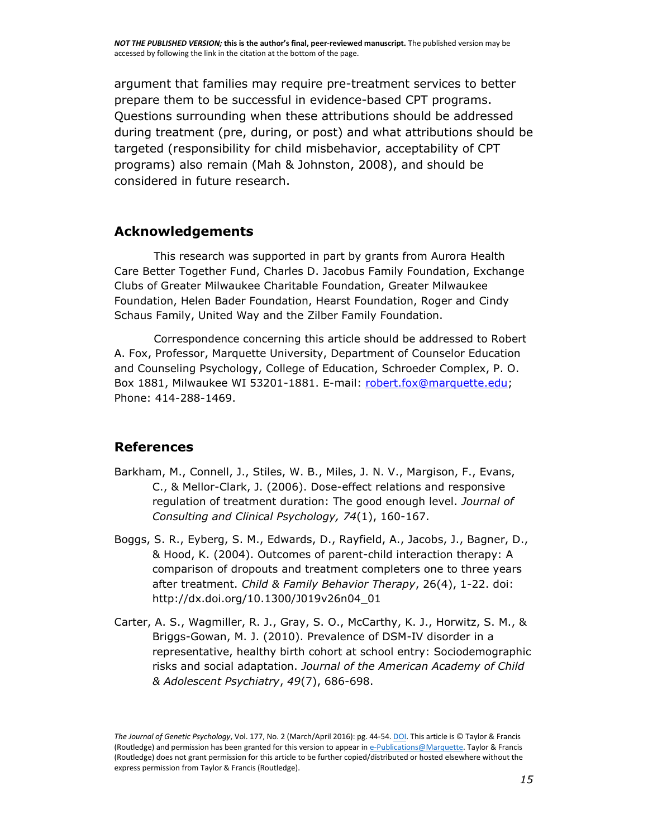argument that families may require pre-treatment services to better prepare them to be successful in evidence-based CPT programs. Questions surrounding when these attributions should be addressed during treatment (pre, during, or post) and what attributions should be targeted (responsibility for child misbehavior, acceptability of CPT programs) also remain (Mah & Johnston, 2008), and should be considered in future research.

#### **Acknowledgements**

This research was supported in part by grants from Aurora Health Care Better Together Fund, Charles D. Jacobus Family Foundation, Exchange Clubs of Greater Milwaukee Charitable Foundation, Greater Milwaukee Foundation, Helen Bader Foundation, Hearst Foundation, Roger and Cindy Schaus Family, United Way and the Zilber Family Foundation.

Correspondence concerning this article should be addressed to Robert A. Fox, Professor, Marquette University, Department of Counselor Education and Counseling Psychology, College of Education, Schroeder Complex, P. O. Box 1881, Milwaukee WI 53201-1881. E-mail: [robert.fox@marquette.edu;](mailto:robert.fox@marquette.edu) Phone: 414-288-1469.

#### **References**

- Barkham, M., Connell, J., Stiles, W. B., Miles, J. N. V., Margison, F., Evans, C., & Mellor-Clark, J. (2006). Dose-effect relations and responsive regulation of treatment duration: The good enough level. *Journal of Consulting and Clinical Psychology, 74*(1), 160-167.
- Boggs, S. R., Eyberg, S. M., Edwards, D., Rayfield, A., Jacobs, J., Bagner, D., & Hood, K. (2004). Outcomes of parent-child interaction therapy: A comparison of dropouts and treatment completers one to three years after treatment. *Child & Family Behavior Therapy*, 26(4), 1-22. doi: http://dx.doi.org/10.1300/J019v26n04\_01
- Carter, A. S., Wagmiller, R. J., Gray, S. O., McCarthy, K. J., Horwitz, S. M., & Briggs-Gowan, M. J. (2010). Prevalence of DSM-IV disorder in a representative, healthy birth cohort at school entry: Sociodemographic risks and social adaptation. *Journal of the American Academy of Child & Adolescent Psychiatry*, *49*(7), 686-698.

*The Journal of Genetic Psychology*, Vol. 177, No. 2 (March/April 2016): pg. 44-54[. DOI.](http://dx.doi.org/10.1080/00221325.2016.1147415) This article is © Taylor & Francis (Routledge) and permission has been granted for this version to appear i[n e-Publications@Marquette.](http://epublications.marquette.edu/) Taylor & Francis (Routledge) does not grant permission for this article to be further copied/distributed or hosted elsewhere without the express permission from Taylor & Francis (Routledge).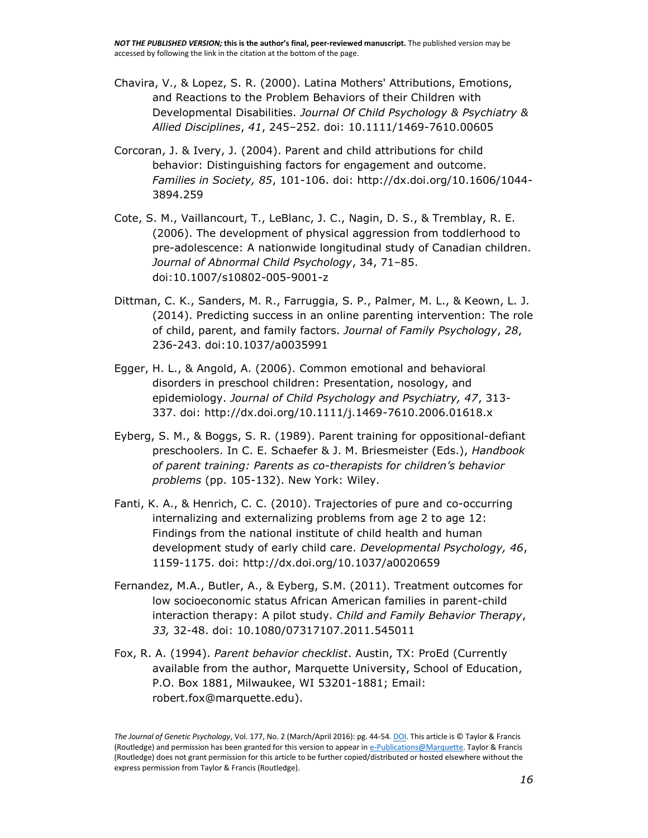- Chavira, V., & Lopez, S. R. (2000). Latina Mothers' Attributions, Emotions, and Reactions to the Problem Behaviors of their Children with Developmental Disabilities. *Journal Of Child Psychology & Psychiatry & Allied Disciplines*, *41*, 245–252. doi: 10.1111/1469-7610.00605
- Corcoran, J. & Ivery, J. (2004). Parent and child attributions for child behavior: Distinguishing factors for engagement and outcome. *Families in Society, 85*, 101-106. doi: http://dx.doi.org/10.1606/1044- 3894.259
- Cote, S. M., Vaillancourt, T., LeBlanc, J. C., Nagin, D. S., & Tremblay, R. E. (2006). The development of physical aggression from toddlerhood to pre-adolescence: A nationwide longitudinal study of Canadian children. *Journal of Abnormal Child Psychology*, 34, 71–85. doi:10.1007/s10802-005-9001-z
- Dittman, C. K., Sanders, M. R., Farruggia, S. P., Palmer, M. L., & Keown, L. J. (2014). Predicting success in an online parenting intervention: The role of child, parent, and family factors. *Journal of Family Psychology*, *28*, 236-243. doi:10.1037/a0035991
- Egger, H. L., & Angold, A. (2006). Common emotional and behavioral disorders in preschool children: Presentation, nosology, and epidemiology. *Journal of Child Psychology and Psychiatry, 47*, 313- 337. doi: http://dx.doi.org/10.1111/j.1469-7610.2006.01618.x
- Eyberg, S. M., & Boggs, S. R. (1989). Parent training for oppositional-defiant preschoolers. In C. E. Schaefer & J. M. Briesmeister (Eds.), *Handbook of parent training: Parents as co-therapists for children's behavior problems* (pp. 105-132). New York: Wiley.
- Fanti, K. A., & Henrich, C. C. (2010). Trajectories of pure and co-occurring internalizing and externalizing problems from age 2 to age 12: Findings from the national institute of child health and human development study of early child care. *Developmental Psychology, 46*, 1159-1175. doi: http://dx.doi.org/10.1037/a0020659
- Fernandez, M.A., Butler, A., & Eyberg, S.M. (2011). Treatment outcomes for low socioeconomic status African American families in parent-child interaction therapy: A pilot study. *Child and Family Behavior Therapy*, *33,* 32-48. doi: 10.1080/07317107.2011.545011
- Fox, R. A. (1994). *Parent behavior checklist*. Austin, TX: ProEd (Currently available from the author, Marquette University, School of Education, P.O. Box 1881, Milwaukee, WI 53201-1881; Email: robert.fox@marquette.edu).

*The Journal of Genetic Psychology*, Vol. 177, No. 2 (March/April 2016): pg. 44-54[. DOI.](http://dx.doi.org/10.1080/00221325.2016.1147415) This article is © Taylor & Francis (Routledge) and permission has been granted for this version to appear i[n e-Publications@Marquette.](http://epublications.marquette.edu/) Taylor & Francis (Routledge) does not grant permission for this article to be further copied/distributed or hosted elsewhere without the express permission from Taylor & Francis (Routledge).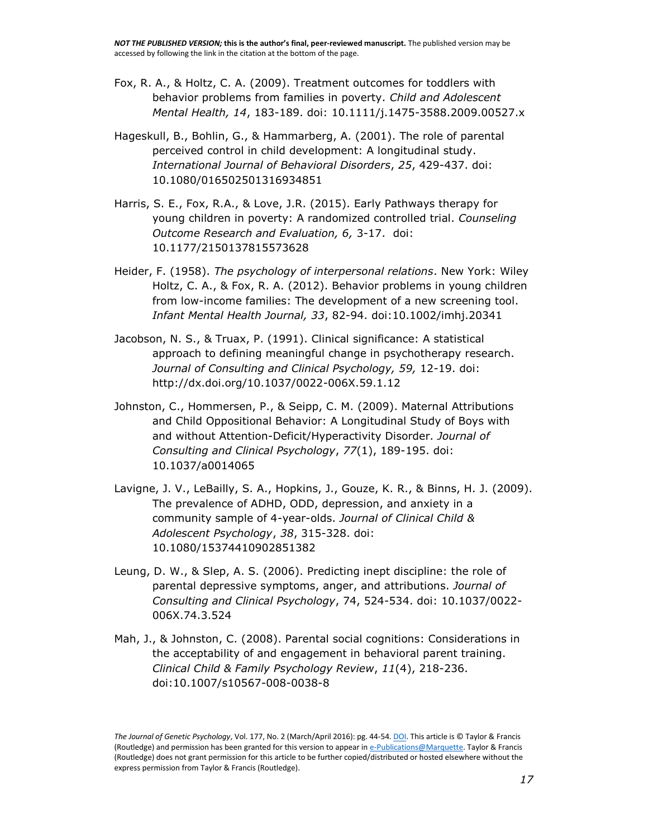- Fox, R. A., & Holtz, C. A. (2009). Treatment outcomes for toddlers with behavior problems from families in poverty. *Child and Adolescent Mental Health, 14*, 183-189. doi: 10.1111/j.1475-3588.2009.00527.x
- Hageskull, B., Bohlin, G., & Hammarberg, A. (2001). The role of parental perceived control in child development: A longitudinal study. *International Journal of Behavioral Disorders*, *25*, 429-437. doi: 10.1080/016502501316934851
- Harris, S. E., Fox, R.A., & Love, J.R. (2015). Early Pathways therapy for young children in poverty: A randomized controlled trial. *Counseling Outcome Research and Evaluation, 6,* 3-17. doi: 10.1177/2150137815573628
- Heider, F. (1958). *The psychology of interpersonal relations*. New York: Wiley Holtz, C. A., & Fox, R. A. (2012). Behavior problems in young children from low-income families: The development of a new screening tool. *Infant Mental Health Journal, 33*, 82-94. doi:10.1002/imhj.20341
- Jacobson, N. S., & Truax, P. (1991). Clinical significance: A statistical approach to defining meaningful change in psychotherapy research. *Journal of Consulting and Clinical Psychology, 59,* 12-19. doi: http://dx.doi.org/10.1037/0022-006X.59.1.12
- Johnston, C., Hommersen, P., & Seipp, C. M. (2009). Maternal Attributions and Child Oppositional Behavior: A Longitudinal Study of Boys with and without Attention-Deficit/Hyperactivity Disorder. *Journal of Consulting and Clinical Psychology*, *77*(1), 189-195. doi: 10.1037/a0014065
- Lavigne, J. V., LeBailly, S. A., Hopkins, J., Gouze, K. R., & Binns, H. J. (2009). The prevalence of ADHD, ODD, depression, and anxiety in a community sample of 4-year-olds. *Journal of Clinical Child & Adolescent Psychology*, *38*, 315-328. doi: 10.1080/15374410902851382
- Leung, D. W., & Slep, A. S. (2006). Predicting inept discipline: the role of parental depressive symptoms, anger, and attributions. *Journal of Consulting and Clinical Psychology*, 74, 524-534. doi: 10.1037/0022- 006X.74.3.524
- Mah, J., & Johnston, C. (2008). Parental social cognitions: Considerations in the acceptability of and engagement in behavioral parent training. *Clinical Child & Family Psychology Review*, *11*(4), 218-236. doi:10.1007/s10567-008-0038-8

*The Journal of Genetic Psychology*, Vol. 177, No. 2 (March/April 2016): pg. 44-54[. DOI.](http://dx.doi.org/10.1080/00221325.2016.1147415) This article is © Taylor & Francis (Routledge) and permission has been granted for this version to appear i[n e-Publications@Marquette.](http://epublications.marquette.edu/) Taylor & Francis (Routledge) does not grant permission for this article to be further copied/distributed or hosted elsewhere without the express permission from Taylor & Francis (Routledge).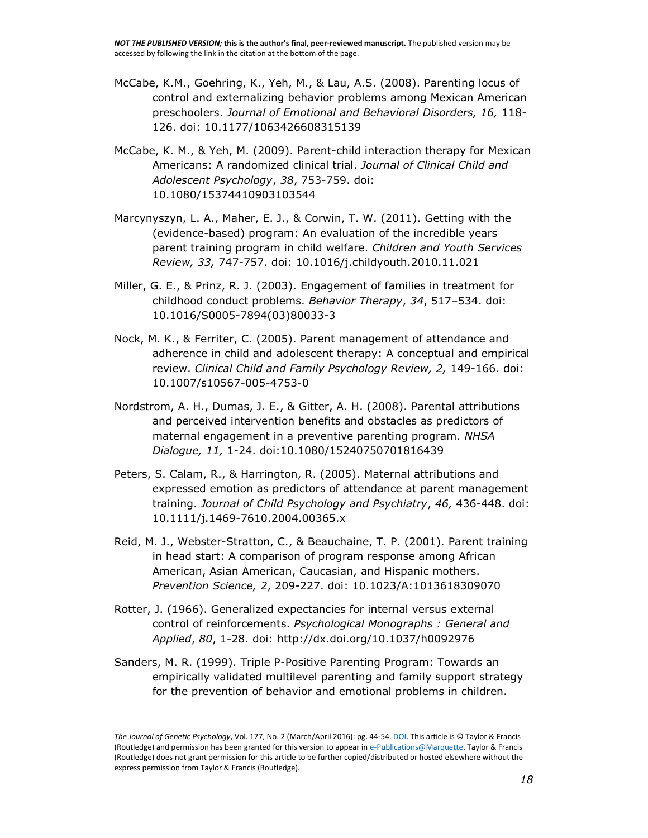- McCabe, K.M., Goehring, K., Yeh, M., & Lau, A.S. (2008). Parenting locus of control and externalizing behavior problems among Mexican American preschoolers. *Journal of Emotional and Behavioral Disorders, 16,* 118- 126. doi: 10.1177/1063426608315139
- McCabe, K. M., & Yeh, M. (2009). Parent-child interaction therapy for Mexican Americans: A randomized clinical trial. *Journal of Clinical Child and Adolescent Psychology*, *38*, 753-759. doi: 10.1080/15374410903103544
- Marcynyszyn, L. A., Maher, E. J., & Corwin, T. W. (2011). Getting with the (evidence-based) program: An evaluation of the incredible years parent training program in child welfare. *Children and Youth Services Review, 33,* 747-757. doi: 10.1016/j.childyouth.2010.11.021
- Miller, G. E., & Prinz, R. J. (2003). Engagement of families in treatment for childhood conduct problems. *Behavior Therapy*, *34*, 517–534. doi: 10.1016/S0005-7894(03)80033-3
- Nock, M. K., & Ferriter, C. (2005). Parent management of attendance and adherence in child and adolescent therapy: A conceptual and empirical review. *Clinical Child and Family Psychology Review, 2,* 149-166. doi: 10.1007/s10567-005-4753-0
- Nordstrom, A. H., Dumas, J. E., & Gitter, A. H. (2008). Parental attributions and perceived intervention benefits and obstacles as predictors of maternal engagement in a preventive parenting program. *NHSA Dialogue, 11,* 1-24. doi:10.1080/15240750701816439
- Peters, S. Calam, R., & Harrington, R. (2005). Maternal attributions and expressed emotion as predictors of attendance at parent management training. *Journal of Child Psychology and Psychiatry*, *46,* 436-448. doi: 10.1111/j.1469-7610.2004.00365.x
- Reid, M. J., Webster-Stratton, C., & Beauchaine, T. P. (2001). Parent training in head start: A comparison of program response among African American, Asian American, Caucasian, and Hispanic mothers. *Prevention Science, 2*, 209-227. doi: 10.1023/A:1013618309070
- Rotter, J. (1966). Generalized expectancies for internal versus external control of reinforcements. *Psychological Monographs : General and Applied*, *80*, 1-28. doi: http://dx.doi.org/10.1037/h0092976
- Sanders, M. R. (1999). Triple P-Positive Parenting Program: Towards an empirically validated multilevel parenting and family support strategy for the prevention of behavior and emotional problems in children.

*The Journal of Genetic Psychology*, Vol. 177, No. 2 (March/April 2016): pg. 44-54[. DOI.](http://dx.doi.org/10.1080/00221325.2016.1147415) This article is © Taylor & Francis (Routledge) and permission has been granted for this version to appear i[n e-Publications@Marquette.](http://epublications.marquette.edu/) Taylor & Francis (Routledge) does not grant permission for this article to be further copied/distributed or hosted elsewhere without the express permission from Taylor & Francis (Routledge).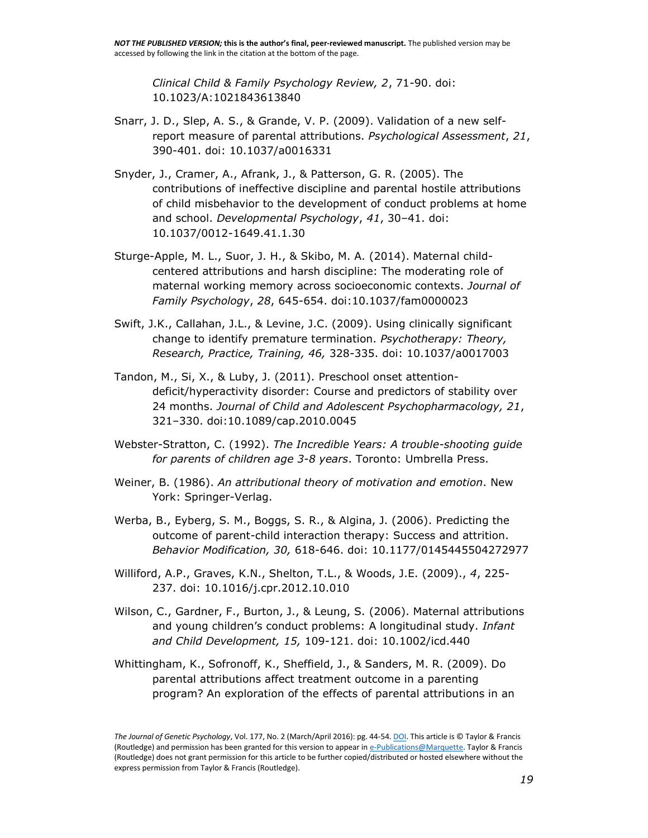*Clinical Child & Family Psychology Review, 2*, 71-90. doi: 10.1023/A:1021843613840

- Snarr, J. D., Slep, A. S., & Grande, V. P. (2009). Validation of a new selfreport measure of parental attributions. *Psychological Assessment*, *21*, 390-401. doi: 10.1037/a0016331
- Snyder, J., Cramer, A., Afrank, J., & Patterson, G. R. (2005). The contributions of ineffective discipline and parental hostile attributions of child misbehavior to the development of conduct problems at home and school. *Developmental Psychology*, *41*, 30–41. doi: 10.1037/0012-1649.41.1.30
- Sturge-Apple, M. L., Suor, J. H., & Skibo, M. A. (2014). Maternal childcentered attributions and harsh discipline: The moderating role of maternal working memory across socioeconomic contexts. *Journal of Family Psychology*, *28*, 645-654. doi:10.1037/fam0000023
- Swift, J.K., Callahan, J.L., & Levine, J.C. (2009). Using clinically significant change to identify premature termination. *Psychotherapy: Theory, Research, Practice, Training, 46,* 328-335. doi: 10.1037/a0017003
- Tandon, M., Si, X., & Luby, J. (2011). Preschool onset attentiondeficit/hyperactivity disorder: Course and predictors of stability over 24 months. *Journal of Child and Adolescent Psychopharmacology, 21*, 321–330. doi:10.1089/cap.2010.0045
- Webster-Stratton, C. (1992). *The Incredible Years: A trouble-shooting guide for parents of children age 3-8 years*. Toronto: Umbrella Press.
- Weiner, B. (1986). *An attributional theory of motivation and emotion*. New York: Springer-Verlag.
- Werba, B., Eyberg, S. M., Boggs, S. R., & Algina, J. (2006). Predicting the outcome of parent-child interaction therapy: Success and attrition. *Behavior Modification, 30,* 618-646. doi: 10.1177/0145445504272977
- Williford, A.P., Graves, K.N., Shelton, T.L., & Woods, J.E. (2009)., *4*, 225- 237. doi: 10.1016/j.cpr.2012.10.010
- Wilson, C., Gardner, F., Burton, J., & Leung, S. (2006). Maternal attributions and young children's conduct problems: A longitudinal study. *Infant and Child Development, 15,* 109-121. doi: 10.1002/icd.440
- Whittingham, K., Sofronoff, K., Sheffield, J., & Sanders, M. R. (2009). Do parental attributions affect treatment outcome in a parenting program? An exploration of the effects of parental attributions in an

*The Journal of Genetic Psychology*, Vol. 177, No. 2 (March/April 2016): pg. 44-54[. DOI.](http://dx.doi.org/10.1080/00221325.2016.1147415) This article is © Taylor & Francis (Routledge) and permission has been granted for this version to appear i[n e-Publications@Marquette.](http://epublications.marquette.edu/) Taylor & Francis (Routledge) does not grant permission for this article to be further copied/distributed or hosted elsewhere without the express permission from Taylor & Francis (Routledge).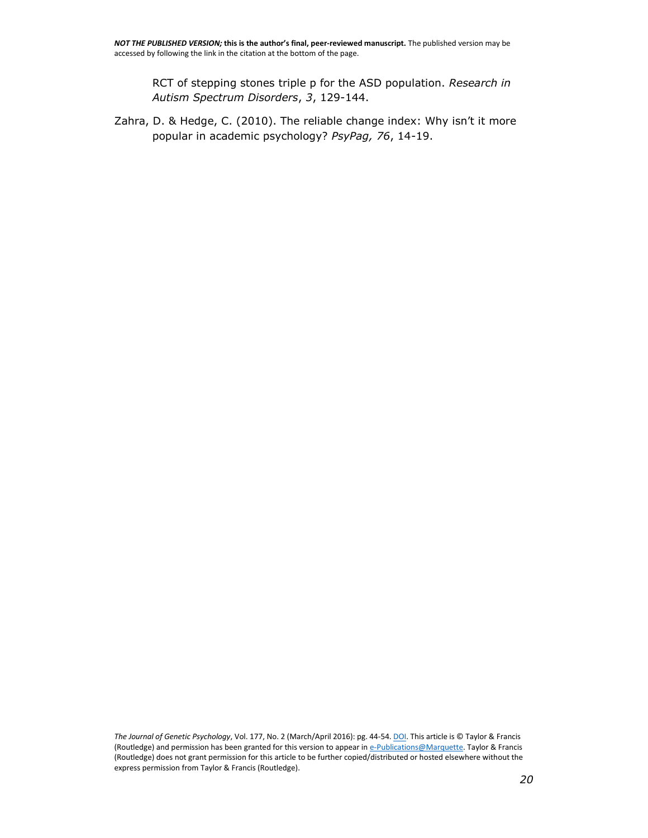RCT of stepping stones triple p for the ASD population. *Research in Autism Spectrum Disorders*, *3*, 129-144.

Zahra, D. & Hedge, C. (2010). The reliable change index: Why isn't it more popular in academic psychology? *PsyPag, 76*, 14-19.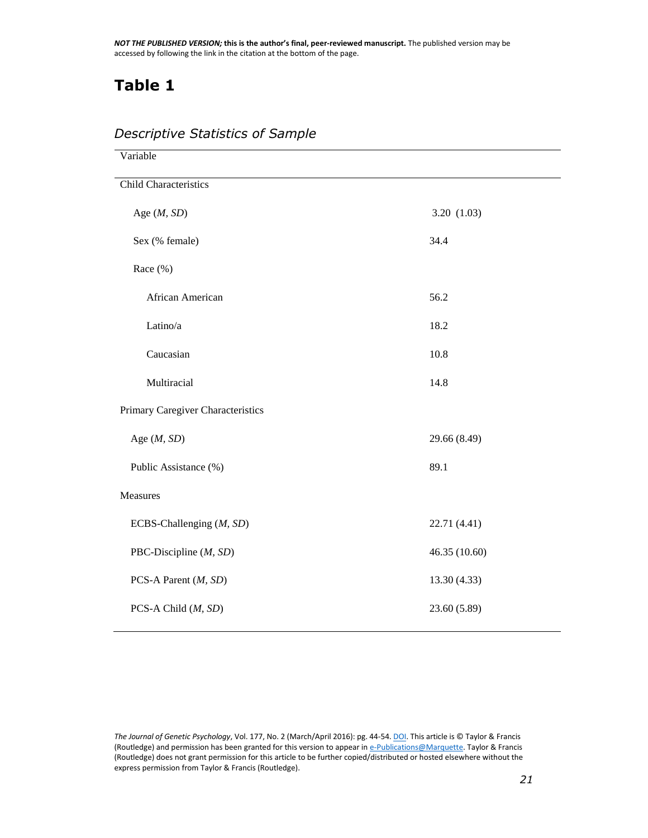## **Table 1**

| Variable                          |               |
|-----------------------------------|---------------|
| <b>Child Characteristics</b>      |               |
| Age $(M, SD)$                     | 3.20(1.03)    |
| Sex (% female)                    | 34.4          |
| Race $(\% )$                      |               |
| African American                  | 56.2          |
| Latino/a                          | 18.2          |
| Caucasian                         | 10.8          |
| Multiracial                       | 14.8          |
| Primary Caregiver Characteristics |               |
| Age $(M, SD)$                     | 29.66 (8.49)  |
| Public Assistance (%)             | 89.1          |
| Measures                          |               |
| ECBS-Challenging (M, SD)          | 22.71 (4.41)  |
| PBC-Discipline (M, SD)            | 46.35 (10.60) |
| PCS-A Parent (M, SD)              | 13.30 (4.33)  |
| PCS-A Child (M, SD)               | 23.60 (5.89)  |

#### *Descriptive Statistics of Sample*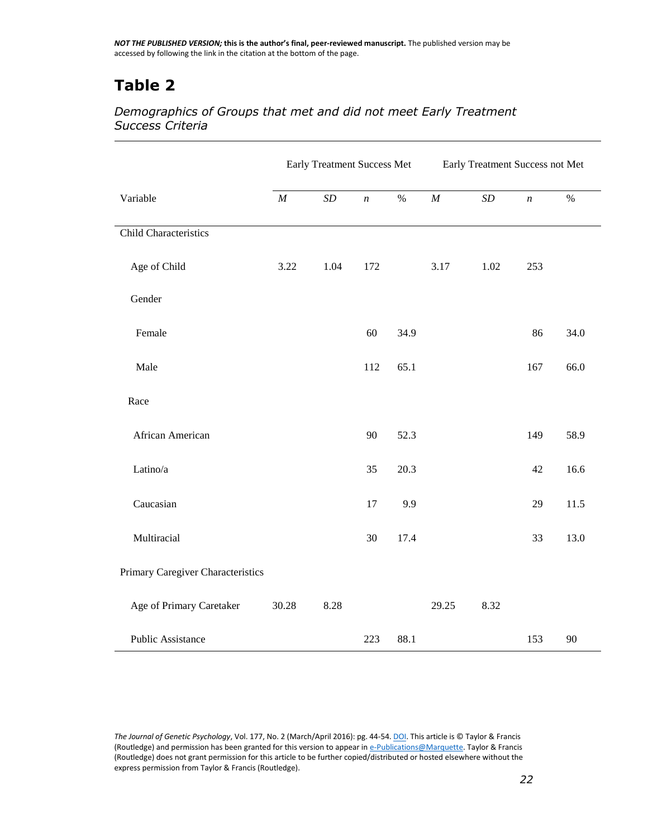## **Table 2**

#### *Demographics of Groups that met and did not meet Early Treatment Success Criteria*

|                                   | Early Treatment Success Met |           |                  | Early Treatment Success not Met |          |           |                  |      |
|-----------------------------------|-----------------------------|-----------|------------------|---------------------------------|----------|-----------|------------------|------|
| Variable                          | $\cal M$                    | $\cal SD$ | $\boldsymbol{n}$ | $\%$                            | $\cal M$ | $\cal SD$ | $\boldsymbol{n}$ | $\%$ |
| Child Characteristics             |                             |           |                  |                                 |          |           |                  |      |
| Age of Child                      | 3.22                        | 1.04      | 172              |                                 | 3.17     | 1.02      | 253              |      |
| Gender                            |                             |           |                  |                                 |          |           |                  |      |
| Female                            |                             |           | 60               | 34.9                            |          |           | 86               | 34.0 |
| Male                              |                             |           | 112              | 65.1                            |          |           | 167              | 66.0 |
| Race                              |                             |           |                  |                                 |          |           |                  |      |
| African American                  |                             |           | 90               | 52.3                            |          |           | 149              | 58.9 |
| Latino/a                          |                             |           | 35               | 20.3                            |          |           | 42               | 16.6 |
| Caucasian                         |                             |           | 17               | 9.9                             |          |           | 29               | 11.5 |
| Multiracial                       |                             |           | 30               | 17.4                            |          |           | 33               | 13.0 |
| Primary Caregiver Characteristics |                             |           |                  |                                 |          |           |                  |      |
| Age of Primary Caretaker          | 30.28                       | 8.28      |                  |                                 | 29.25    | 8.32      |                  |      |
| <b>Public Assistance</b>          |                             |           | 223              | 88.1                            |          |           | 153              | 90   |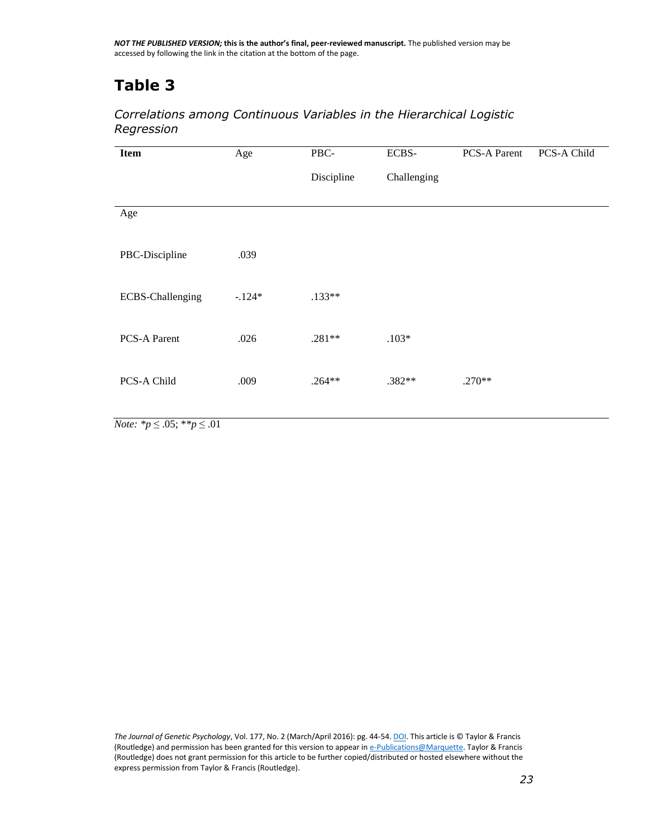## **Table 3**

#### *Correlations among Continuous Variables in the Hierarchical Logistic Regression*

| <b>Item</b>             | Age      | PBC-<br>Discipline | ECBS-<br>Challenging | PCS-A Parent | PCS-A Child |
|-------------------------|----------|--------------------|----------------------|--------------|-------------|
| Age                     |          |                    |                      |              |             |
| PBC-Discipline          | .039     |                    |                      |              |             |
| <b>ECBS-Challenging</b> | $-.124*$ | $.133**$           |                      |              |             |
| <b>PCS-A Parent</b>     | .026     | $.281**$           | $.103*$              |              |             |
| PCS-A Child             | .009     | $.264**$           | .382**               | $.270**$     |             |

*Note: \*p* ≤ .05; \**\*p* ≤ .01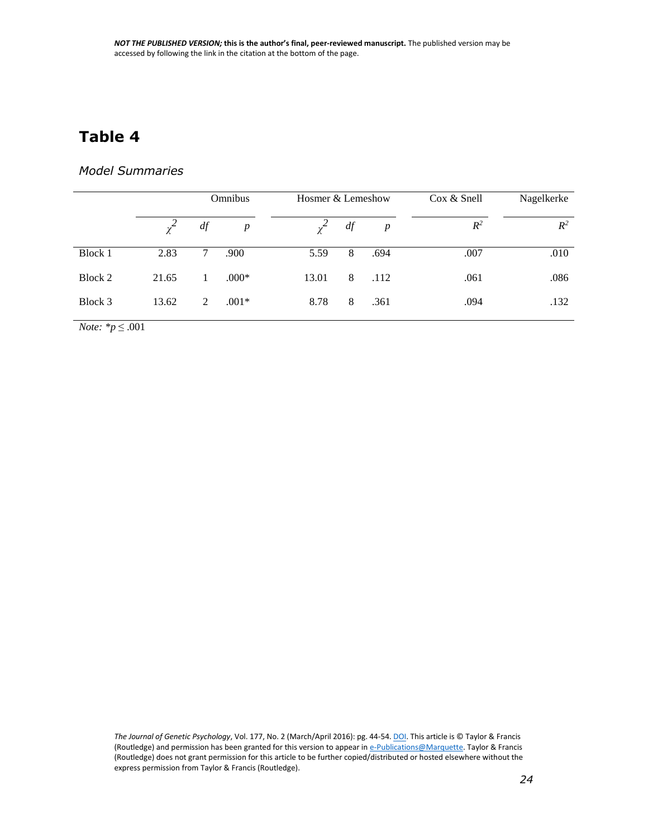## **Table 4**

#### *Model Summaries*

|         |          | Omnibus |                  | Hosmer & Lemeshow |    |                  | $\cos \&$ Snell | Nagelkerke |
|---------|----------|---------|------------------|-------------------|----|------------------|-----------------|------------|
|         | $\chi^2$ | df      | $\boldsymbol{p}$ | $\mathcal{Z}$     | df | $\boldsymbol{p}$ | $R^2$           | $R^2$      |
| Block 1 | 2.83     | 7       | .900             | 5.59              | 8  | .694             | .007            | .010       |
| Block 2 | 21.65    |         | $.000*$          | 13.01             | 8  | .112             | .061            | .086       |
| Block 3 | 13.62    | 2       | $.001*$          | 8.78              | 8  | .361             | .094            | .132       |

*Note: \*p* ≤ .001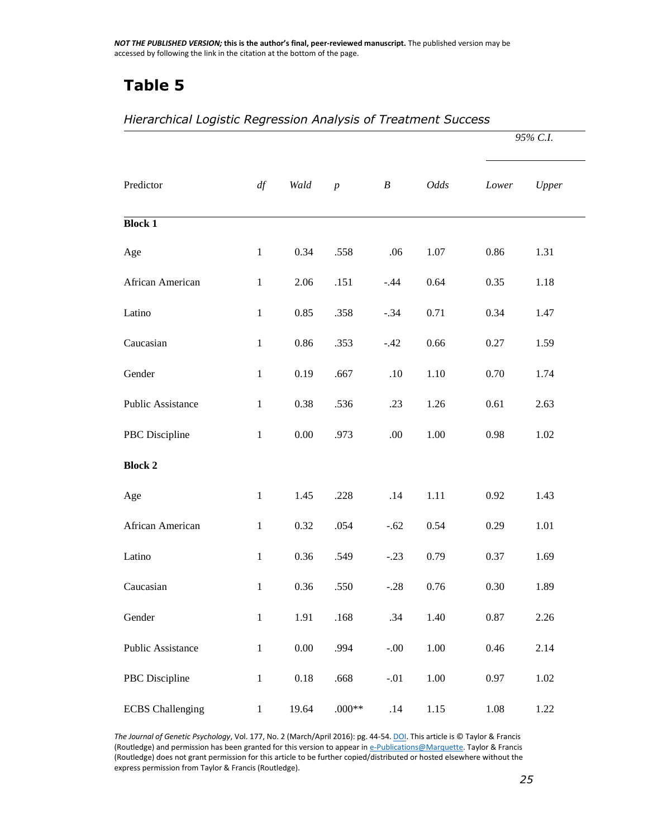## **Table 5**

|                          |              |          |                  |                  |          | 95% C.I. |          |  |
|--------------------------|--------------|----------|------------------|------------------|----------|----------|----------|--|
| Predictor                | df           | Wald     | $\boldsymbol{p}$ | $\boldsymbol{B}$ | Odds     | Lower    | Upper    |  |
| <b>Block 1</b>           |              |          |                  |                  |          |          |          |  |
| Age                      | $\mathbf{1}$ | 0.34     | .558             | .06              | 1.07     | 0.86     | 1.31     |  |
| African American         | $\mathbf{1}$ | 2.06     | .151             | $-.44$           | 0.64     | 0.35     | 1.18     |  |
| Latino                   | $\mathbf{1}$ | 0.85     | .358             | $-.34$           | 0.71     | 0.34     | 1.47     |  |
| Caucasian                | $\mathbf{1}$ | 0.86     | .353             | $-.42$           | 0.66     | 0.27     | 1.59     |  |
| Gender                   | $\mathbf{1}$ | 0.19     | .667             | .10              | 1.10     | 0.70     | 1.74     |  |
| <b>Public Assistance</b> | $\mathbf{1}$ | 0.38     | .536             | .23              | 1.26     | 0.61     | 2.63     |  |
| PBC Discipline           | $\mathbf{1}$ | $0.00\,$ | .973             | .00              | 1.00     | 0.98     | 1.02     |  |
| <b>Block 2</b>           |              |          |                  |                  |          |          |          |  |
| Age                      | $\mathbf{1}$ | 1.45     | .228             | .14              | 1.11     | 0.92     | 1.43     |  |
| African American         | $\mathbf{1}$ | 0.32     | .054             | $-.62$           | 0.54     | 0.29     | 1.01     |  |
| Latino                   | $\mathbf{1}$ | 0.36     | .549             | $-.23$           | 0.79     | 0.37     | 1.69     |  |
| Caucasian                | $\mathbf{1}$ | 0.36     | .550             | $-.28$           | 0.76     | 0.30     | 1.89     |  |
| Gender                   | $\,1\,$      | 1.91     | .168             | .34              | 1.40     | 0.87     | 2.26     |  |
| Public Assistance        | $\,1\,$      | $0.00\,$ | .994             | $-.00$           | 1.00     | 0.46     | 2.14     |  |
| PBC Discipline           | $\,1\,$      | $0.18\,$ | .668             | $-.01$           | $1.00\,$ | 0.97     | $1.02\,$ |  |
| <b>ECBS</b> Challenging  | $\mathbf{1}$ | 19.64    | $.000**$         | .14              | 1.15     | 1.08     | 1.22     |  |

#### *Hierarchical Logistic Regression Analysis of Treatment Success*